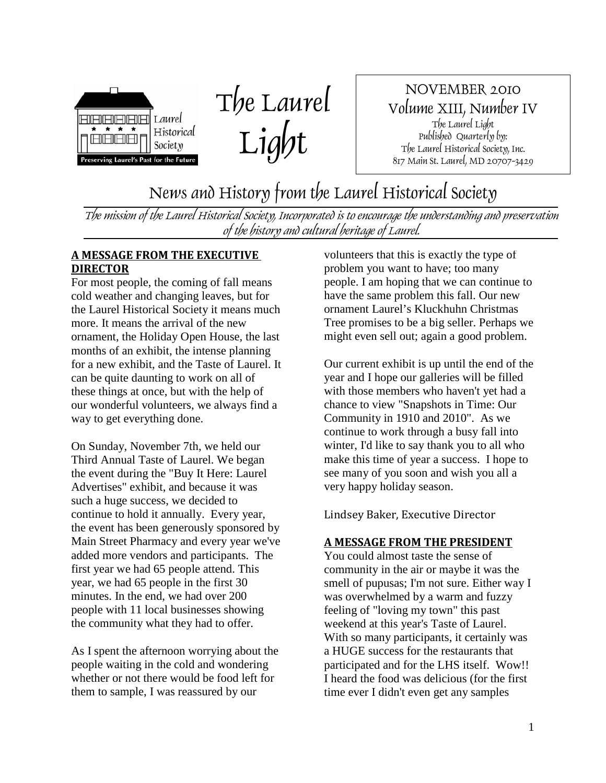



NOVEMBER 2010 Volume XIII, Number IV The Laurel Light Published Quarterly by: The Laurel Historical Society, Inc. 817 Main St. Laurel, MD 20707-3429

News and History from the Laurel Historical Society

The mission of the Laurel Historical Society, Incorporated is to encourage the understanding and preservation of the history and cultural heritage of Laurel.

## **A MESSAGE FROM THE EXECUTIVE DIRECTOR**

For most people, the coming of fall means cold weather and changing leaves, but for the Laurel Historical Society it means much more. It means the arrival of the new ornament, the Holiday Open House, the last months of an exhibit, the intense planning for a new exhibit, and the Taste of Laurel. It can be quite daunting to work on all of these things at once, but with the help of our wonderful volunteers, we always find a way to get everything done.

On Sunday, November 7th, we held our Third Annual Taste of Laurel. We began the event during the "Buy It Here: Laurel Advertises" exhibit, and because it was such a huge success, we decided to continue to hold it annually. Every year, the event has been generously sponsored by Main Street Pharmacy and every year we've added more vendors and participants. The first year we had 65 people attend. This year, we had 65 people in the first 30 minutes. In the end, we had over 200 people with 11 local businesses showing the community what they had to offer.

As I spent the afternoon worrying about the people waiting in the cold and wondering whether or not there would be food left for them to sample, I was reassured by our

volunteers that this is exactly the type of problem you want to have; too many people. I am hoping that we can continue to have the same problem this fall. Our new ornament Laurel's Kluckhuhn Christmas Tree promises to be a big seller. Perhaps we might even sell out; again a good problem.

Our current exhibit is up until the end of the year and I hope our galleries will be filled with those members who haven't yet had a chance to view "Snapshots in Time: Our Community in 1910 and 2010". As we continue to work through a busy fall into winter, I'd like to say thank you to all who make this time of year a success. I hope to see many of you soon and wish you all a very happy holiday season.

Lindsey Baker, Executive Director

#### **A MESSAGE FROM THE PRESIDENT**

You could almost taste the sense of community in the air or maybe it was the smell of pupusas; I'm not sure. Either way I was overwhelmed by a warm and fuzzy feeling of "loving my town" this past weekend at this year's Taste of Laurel. With so many participants, it certainly was a HUGE success for the restaurants that participated and for the LHS itself. Wow!! I heard the food was delicious (for the first time ever I didn't even get any samples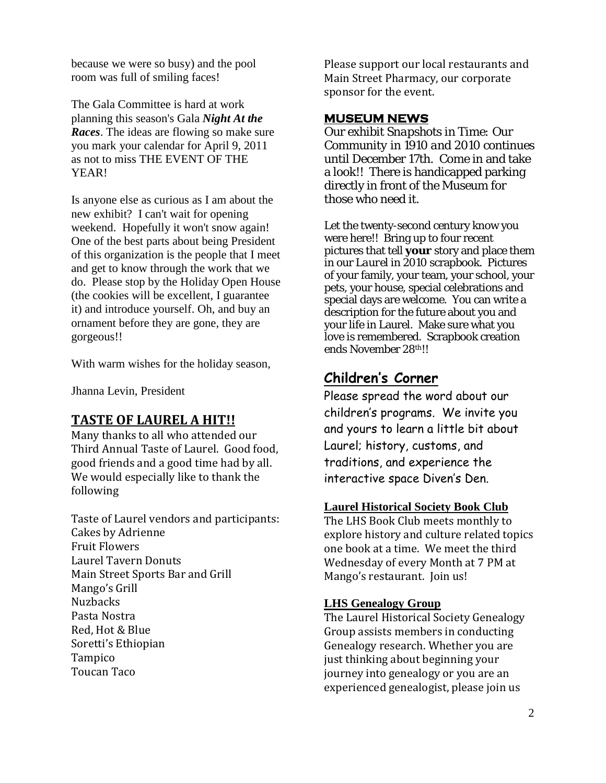because we were so busy) and the pool room was full of smiling faces!

The Gala Committee is hard at work planning this season's Gala *Night At the Races*. The ideas are flowing so make sure you mark your calendar for April 9, 2011 as not to miss THE EVENT OF THE YEAR!

Is anyone else as curious as I am about the new exhibit? I can't wait for opening weekend. Hopefully it won't snow again! One of the best parts about being President of this organization is the people that I meet and get to know through the work that we do. Please stop by the Holiday Open House (the cookies will be excellent, I guarantee it) and introduce yourself. Oh, and buy an ornament before they are gone, they are gorgeous!!

With warm wishes for the holiday season,

Jhanna Levin, President

# **TASTE OF LAUREL A HIT!!**

Many thanks to all who attended our Third Annual Taste of Laurel. Good food, good friends and a good time had by all. We would especially like to thank the following

Taste of Laurel vendors and participants: Cakes by Adrienne Fruit Flowers Laurel Tavern Donuts Main Street Sports Bar and Grill Mango's Grill **Nuzbacks** Pasta Nostra Red, Hot & Blue Soretti's Ethiopian Tampico Toucan Taco

Please support our local restaurants and Main Street Pharmacy, our corporate sponsor for the event.

## **MUSEUM NEWS**

Our exhibit *Snapshots in Time: Our Community in 1910 and 2010* continues until December 17th. Come in and take a look!! There is handicapped parking directly in front of the Museum for those who need it.

Let the twenty-second century know you were here!! Bring up to four recent pictures that tell **your** story and place them in our *Laurel in 2010* scrapbook. Pictures of your family, your team, your school, your pets, your house, special celebrations and special days are welcome. You can write a description for the future about you and your life in Laurel. Make sure what you love is remembered. Scrapbook creation ends November 28th!!

# **Children's Corner**

Please spread the word about our children's programs. We invite you and yours to learn a little bit about Laurel; history, customs, and traditions, and experience the interactive space Diven's Den.

# **Laurel Historical Society Book Club**

The LHS Book Club meets monthly to explore history and culture related topics one book at a time. We meet the third Wednesday of every Month at 7 PM at Mango's restaurant. Join us!

# **LHS Genealogy Group**

The Laurel Historical Society Genealogy Group assists members in conducting Genealogy research. Whether you are just thinking about beginning your journey into genealogy or you are an experienced genealogist, please join us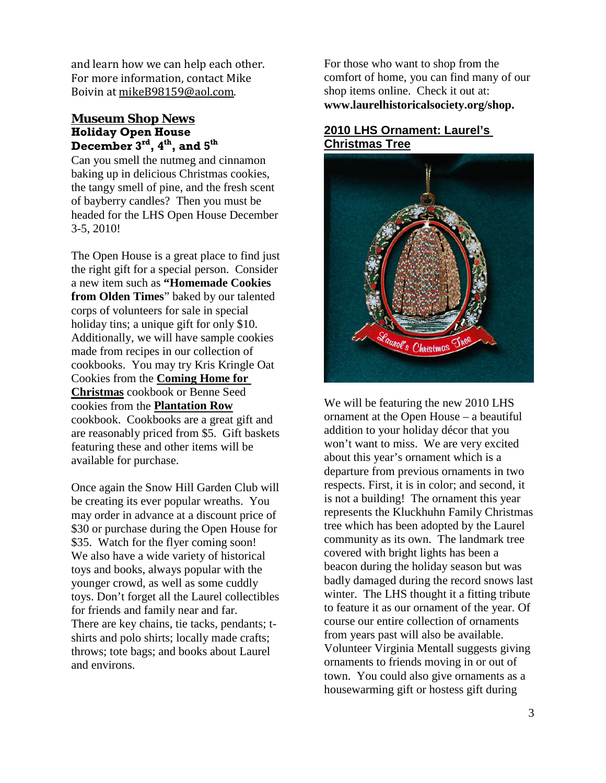and learn how we can help each other. For more information, contact Mike Boivin at mikeB98159@aol.com.

## **Holiday Open House Museum Shop News December 3rd, 4th, and 5th**

Can you smell the nutmeg and cinnamon baking up in delicious Christmas cookies, the tangy smell of pine, and the fresh scent of bayberry candles? Then you must be headed for the LHS Open House December 3-5, 2010!

The Open House is a great place to find just the right gift for a special person. Consider a new item such as **"Homemade Cookies from Olden Times**" baked by our talented corps of volunteers for sale in special holiday tins; a unique gift for only \$10. Additionally, we will have sample cookies made from recipes in our collection of cookbooks. You may try Kris Kringle Oat Cookies from the **Coming Home for Christmas** cookbook or Benne Seed cookies from the **Plantation Row** cookbook. Cookbooks are a great gift and are reasonably priced from \$5. Gift baskets featuring these and other items will be available for purchase.

Once again the Snow Hill Garden Club will be creating its ever popular wreaths. You may order in advance at a discount price of \$30 or purchase during the Open House for \$35. Watch for the flyer coming soon! We also have a wide variety of historical toys and books, always popular with the younger crowd, as well as some cuddly toys. Don't forget all the Laurel collectibles for friends and family near and far. There are key chains, tie tacks, pendants; tshirts and polo shirts; locally made crafts; throws; tote bags; and books about Laurel and environs.

For those who want to shop from the comfort of home, you can find many of our shop items online. Check it out at: **www.laurelhistoricalsociety.org/shop.**

# **2010 LHS Ornament: Laurel's Christmas Tree**



We will be featuring the new 2010 LHS ornament at the Open House – a beautiful addition to your holiday décor that you won't want to miss. We are very excited about this year's ornament which is a departure from previous ornaments in two respects. First, it is in color; and second, it is not a building! The ornament this year represents the Kluckhuhn Family Christmas tree which has been adopted by the Laurel community as its own. The landmark tree covered with bright lights has been a beacon during the holiday season but was badly damaged during the record snows last winter. The LHS thought it a fitting tribute to feature it as our ornament of the year. Of course our entire collection of ornaments from years past will also be available. Volunteer Virginia Mentall suggests giving ornaments to friends moving in or out of town. You could also give ornaments as a housewarming gift or hostess gift during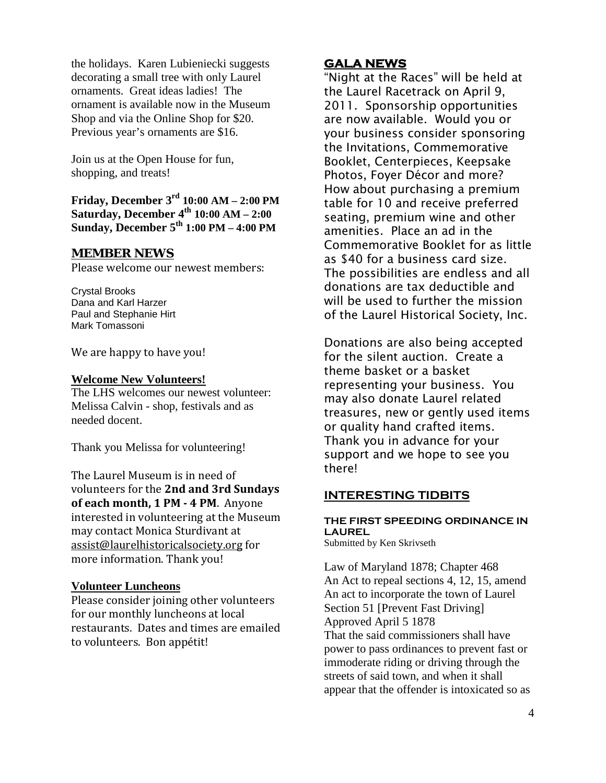the holidays. Karen Lubieniecki suggests decorating a small tree with only Laurel ornaments. Great ideas ladies! The ornament is available now in the Museum Shop and via the Online Shop for \$20. Previous year's ornaments are \$16.

Join us at the Open House for fun, shopping, and treats!

**Friday, December 3rd 10:00 AM – 2:00 PM Saturday, December 4th 10:00 AM – 2:00 Sunday, December 5th 1:00 PM – 4:00 PM**

#### **MEMBER NEWS**

Please welcome our newest members:

Crystal Brooks Dana and Karl Harzer Paul and Stephanie Hirt Mark Tomassoni

We are happy to have you!

#### **Welcome New Volunteers!**

The LHS welcomes our newest volunteer: Melissa Calvin - shop, festivals and as needed docent.

Thank you Melissa for volunteering!

The Laurel Museum is in need of volunteers for the **2nd and 3rd Sundays of each month, 1 PM - 4 PM**. Anyone interested in volunteering at the Museum may contact Monica Sturdivant at assist@laurelhistoricalsociety.org for more information. Thank you!

#### **Volunteer Luncheons**

Please consider joining other volunteers for our monthly luncheons at local restaurants. Dates and times are emailed to volunteers. Bon appétit!

## **GALA NEWS**

"Night at the Races" will be held at the Laurel Racetrack on April 9, 2011. Sponsorship opportunities are now available. Would you or your business consider sponsoring the Invitations, Commemorative Booklet, Centerpieces, Keepsake Photos, Foyer Décor and more? How about purchasing a premium table for 10 and receive preferred seating, premium wine and other amenities. Place an ad in the Commemorative Booklet for as little as \$40 for a business card size. The possibilities are endless and all donations are tax deductible and will be used to further the mission of the Laurel Historical Society, Inc.

Donations are also being accepted for the silent auction. Create a theme basket or a basket representing your business. You may also donate Laurel related treasures, new or gently used items or quality hand crafted items. Thank you in advance for your support and we hope to see you there!

#### **INTERESTING TIDBITS**

#### **THE FIRST SPEEDING ORDINANCE IN LAUREL** Submitted by Ken Skrivseth

Law of Maryland 1878; Chapter 468 An Act to repeal sections 4, 12, 15, amend An act to incorporate the town of Laurel Section 51 [Prevent Fast Driving] Approved April 5 1878 That the said commissioners shall have power to pass ordinances to prevent fast or immoderate riding or driving through the streets of said town, and when it shall appear that the offender is intoxicated so as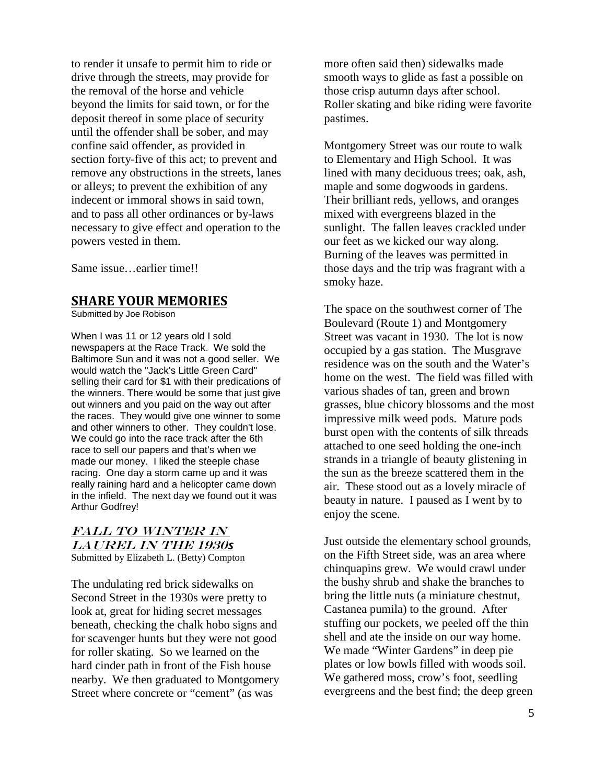to render it unsafe to permit him to ride or drive through the streets, may provide for the removal of the horse and vehicle beyond the limits for said town, or for the deposit thereof in some place of security until the offender shall be sober, and may confine said offender, as provided in section forty-five of this act; to prevent and remove any obstructions in the streets, lanes or alleys; to prevent the exhibition of any indecent or immoral shows in said town, and to pass all other ordinances or by-laws necessary to give effect and operation to the powers vested in them.

Same issue…earlier time!!

# **SHARE YOUR MEMORIES**

Submitted by Joe Robison

When I was 11 or 12 years old I sold newspapers at the Race Track. We sold the Baltimore Sun and it was not a good seller. We would watch the "Jack's Little Green Card" selling their card for \$1 with their predications of the winners. There would be some that just give out winners and you paid on the way out after the races. They would give one winner to some and other winners to other. They couldn't lose. We could go into the race track after the 6th race to sell our papers and that's when we made our money. I liked the steeple chase racing. One day a storm came up and it was really raining hard and a helicopter came down in the infield. The next day we found out it was Arthur Godfrey!

#### Submitted by Elizabeth L. (Betty) Compton FALL TO WINTER IN laurel in the 1930*s*

The undulating red brick sidewalks on Second Street in the 1930s were pretty to look at, great for hiding secret messages beneath, checking the chalk hobo signs and for scavenger hunts but they were not good for roller skating. So we learned on the hard cinder path in front of the Fish house nearby. We then graduated to Montgomery Street where concrete or "cement" (as was

more often said then) sidewalks made smooth ways to glide as fast a possible on those crisp autumn days after school. Roller skating and bike riding were favorite pastimes.

Montgomery Street was our route to walk to Elementary and High School. It was lined with many deciduous trees; oak, ash, maple and some dogwoods in gardens. Their brilliant reds, yellows, and oranges mixed with evergreens blazed in the sunlight. The fallen leaves crackled under our feet as we kicked our way along. Burning of the leaves was permitted in those days and the trip was fragrant with a smoky haze.

The space on the southwest corner of The Boulevard (Route 1) and Montgomery Street was vacant in 1930. The lot is now occupied by a gas station. The Musgrave residence was on the south and the Water's home on the west. The field was filled with various shades of tan, green and brown grasses, blue chicory blossoms and the most impressive milk weed pods. Mature pods burst open with the contents of silk threads attached to one seed holding the one-inch strands in a triangle of beauty glistening in the sun as the breeze scattered them in the air. These stood out as a lovely miracle of beauty in nature. I paused as I went by to enjoy the scene.

Just outside the elementary school grounds, on the Fifth Street side, was an area where chinquapins grew. We would crawl under the bushy shrub and shake the branches to bring the little nuts (a miniature chestnut, Castanea pumila) to the ground. After stuffing our pockets, we peeled off the thin shell and ate the inside on our way home. We made "Winter Gardens" in deep pie plates or low bowls filled with woods soil. We gathered moss, crow's foot, seedling evergreens and the best find; the deep green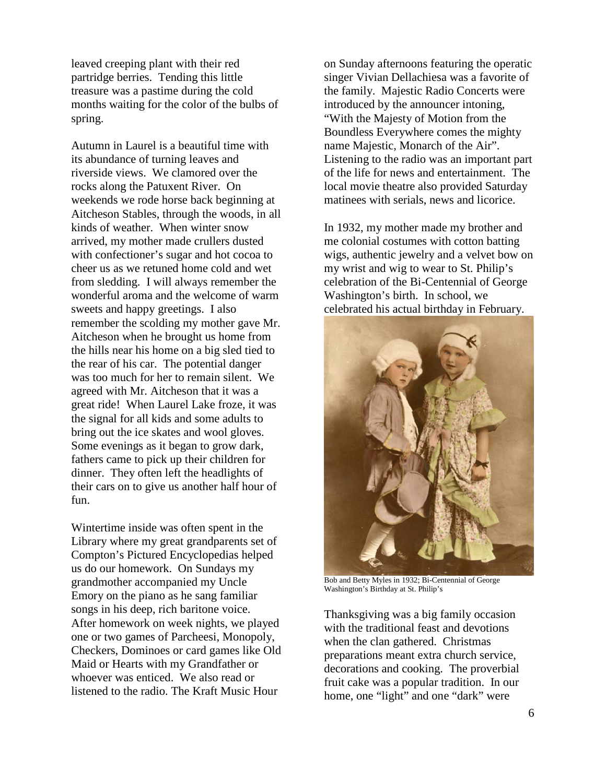leaved creeping plant with their red partridge berries. Tending this little treasure was a pastime during the cold months waiting for the color of the bulbs of spring.

Autumn in Laurel is a beautiful time with its abundance of turning leaves and riverside views. We clamored over the rocks along the Patuxent River. On weekends we rode horse back beginning at Aitcheson Stables, through the woods, in all kinds of weather. When winter snow arrived, my mother made crullers dusted with confectioner's sugar and hot cocoa to cheer us as we retuned home cold and wet from sledding. I will always remember the wonderful aroma and the welcome of warm sweets and happy greetings. I also remember the scolding my mother gave Mr. Aitcheson when he brought us home from the hills near his home on a big sled tied to the rear of his car. The potential danger was too much for her to remain silent. We agreed with Mr. Aitcheson that it was a great ride! When Laurel Lake froze, it was the signal for all kids and some adults to bring out the ice skates and wool gloves. Some evenings as it began to grow dark, fathers came to pick up their children for dinner. They often left the headlights of their cars on to give us another half hour of fun.

Wintertime inside was often spent in the Library where my great grandparents set of Compton's Pictured Encyclopedias helped us do our homework. On Sundays my grandmother accompanied my Uncle Emory on the piano as he sang familiar songs in his deep, rich baritone voice. After homework on week nights, we played one or two games of Parcheesi, Monopoly, Checkers, Dominoes or card games like Old Maid or Hearts with my Grandfather or whoever was enticed. We also read or listened to the radio. The Kraft Music Hour

on Sunday afternoons featuring the operatic singer Vivian Dellachiesa was a favorite of the family. Majestic Radio Concerts were introduced by the announcer intoning, "With the Majesty of Motion from the Boundless Everywhere comes the mighty name Majestic, Monarch of the Air". Listening to the radio was an important part of the life for news and entertainment. The local movie theatre also provided Saturday matinees with serials, news and licorice.

In 1932, my mother made my brother and me colonial costumes with cotton batting wigs, authentic jewelry and a velvet bow on my wrist and wig to wear to St. Philip's celebration of the Bi-Centennial of George Washington's birth. In school, we celebrated his actual birthday in February.



Bob and Betty Myles in 1932; Bi-Centennial of George Washington's Birthday at St. Philip's

Thanksgiving was a big family occasion with the traditional feast and devotions when the clan gathered. Christmas preparations meant extra church service, decorations and cooking. The proverbial fruit cake was a popular tradition. In our home, one "light" and one "dark" were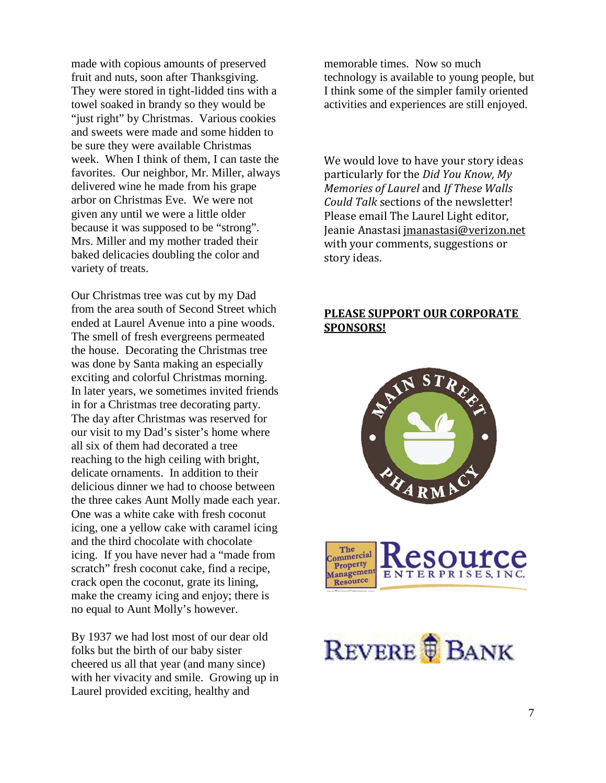made with copious amounts of preserved fruit and nuts, soon after Thanksgiving. They were stored in tight-lidded tins with a towel soaked in brandy so they would be "just right" by Christmas. Various cookies and sweets were made and some hidden to be sure they were available Christmas week. When I think of them, I can taste the favorites. Our neighbor, Mr. Miller, always delivered wine he made from his grape arbor on Christmas Eve. We were not given any until we were a little older because it was supposed to be "strong". Mrs. Miller and my mother traded their baked delicacies doubling the color and variety of treats.

Our Christmas tree was cut by my Dad from the area south of Second Street which ended at Laurel Avenue into a pine woods. The smell of fresh evergreens permeated the house. Decorating the Christmas tree was done by Santa making an especially exciting and colorful Christmas morning. In later years, we sometimes invited friends in for a Christmas tree decorating party. The day after Christmas was reserved for our visit to my Dad's sister's home where all six of them had decorated a tree reaching to the high ceiling with bright, delicate ornaments. In addition to their delicious dinner we had to choose between the three cakes Aunt Molly made each year. One was a white cake with fresh coconut icing, one a yellow cake with caramel icing and the third chocolate with chocolate icing. If you have never had a "made from scratch" fresh coconut cake, find a recipe, crack open the coconut, grate its lining, make the creamy icing and enjoy; there is no equal to Aunt Molly's however.

By 1937 we had lost most of our dear old folks but the birth of our baby sister cheered us all that year (and many since) with her vivacity and smile. Growing up in Laurel provided exciting, healthy and

memorable times. Now so much technology is available to young people, but I think some of the simpler family oriented activities and experiences are still enjoyed.

We would love to have your story ideas particularly for the *Did You Know, My Memories of Laurel* and *If These Walls Could Talk* sections of the newsletter! Please email The Laurel Light editor, Jeanie Anastasi jmanastasi@verizon.net with your comments, suggestions or story ideas.

## **PLEASE SUPPORT OUR CORPORATE SPONSORS!**